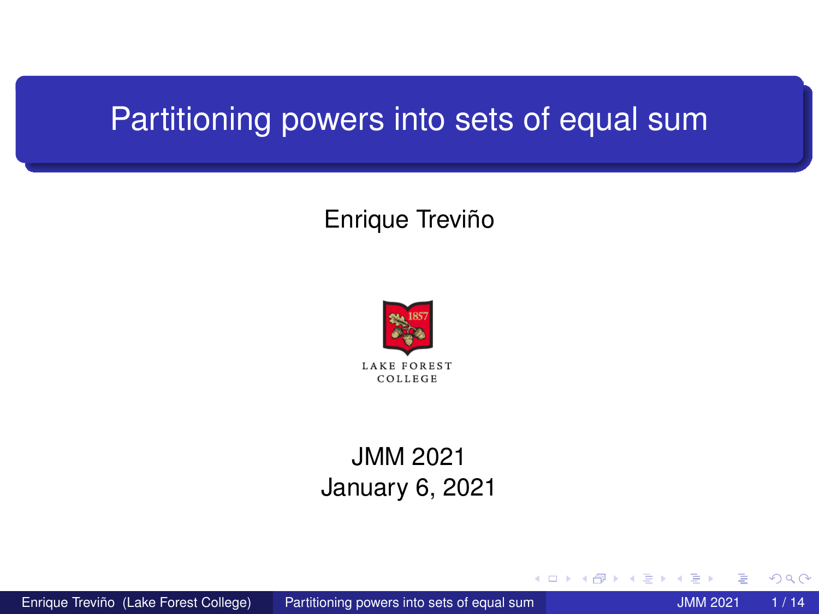# <span id="page-0-0"></span>Partitioning powers into sets of equal sum

## Enrique Treviño



## JMM 2021 January 6, 2021

4 0 8

Enrique Treviño (Lake Forest College) [Partitioning powers into sets of equal sum](#page-13-0) JMM 2021 1 / 14

∋⇒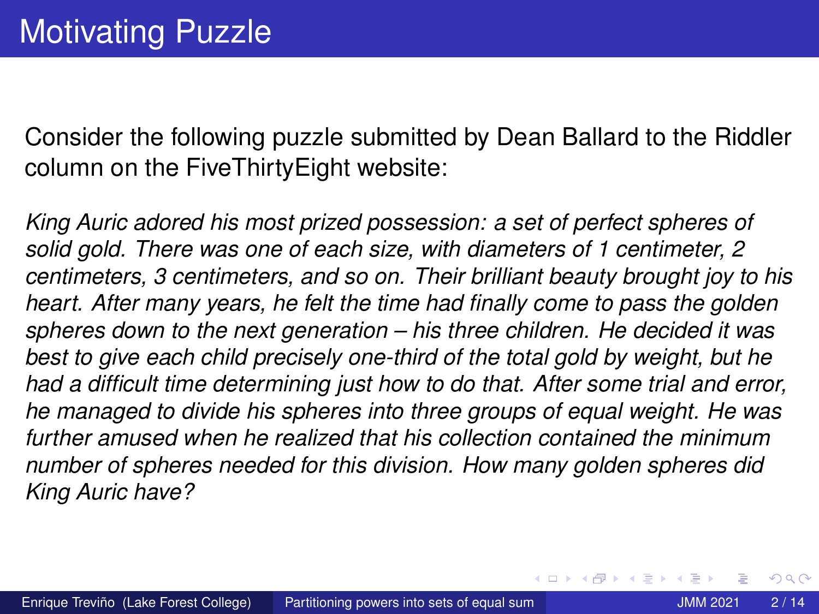Consider the following puzzle submitted by Dean Ballard to the Riddler column on the FiveThirtyEight website:

*King Auric adored his most prized possession: a set of perfect spheres of solid gold. There was one of each size, with diameters of 1 centimeter, 2 centimeters, 3 centimeters, and so on. Their brilliant beauty brought joy to his heart. After many years, he felt the time had finally come to pass the golden spheres down to the next generation – his three children. He decided it was best to give each child precisely one-third of the total gold by weight, but he had a difficult time determining just how to do that. After some trial and error, he managed to divide his spheres into three groups of equal weight. He was further amused when he realized that his collection contained the minimum number of spheres needed for this division. How many golden spheres did King Auric have?*

 $\Omega$ 

(ロトイ部)→(差)→(差)→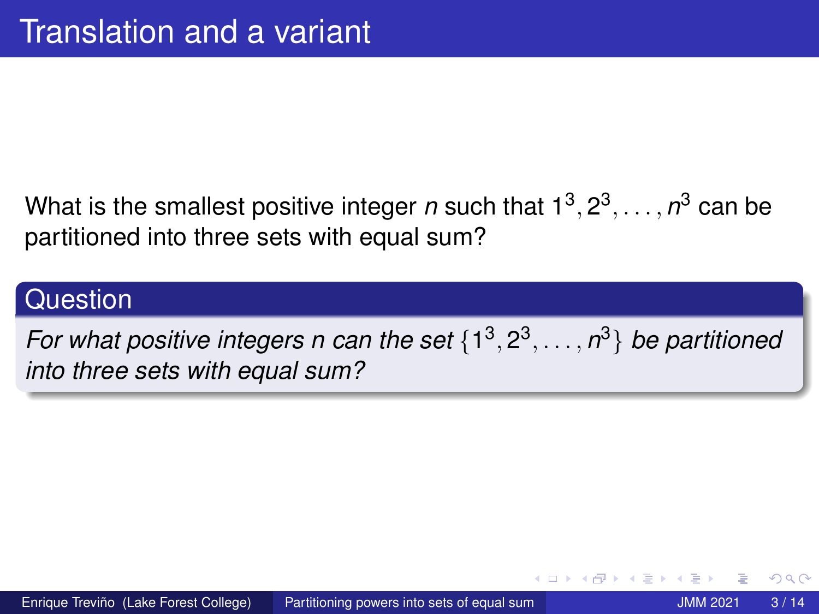## What is the smallest positive integer *n* such that  $1^3, 2^3, \ldots, n^3$  can be partitioned into three sets with equal sum?

## **Question**

*For what positive integers n can the set* {1 3 , 2 3 , . . . , *n* <sup>3</sup>} *be partitioned into three sets with equal sum?*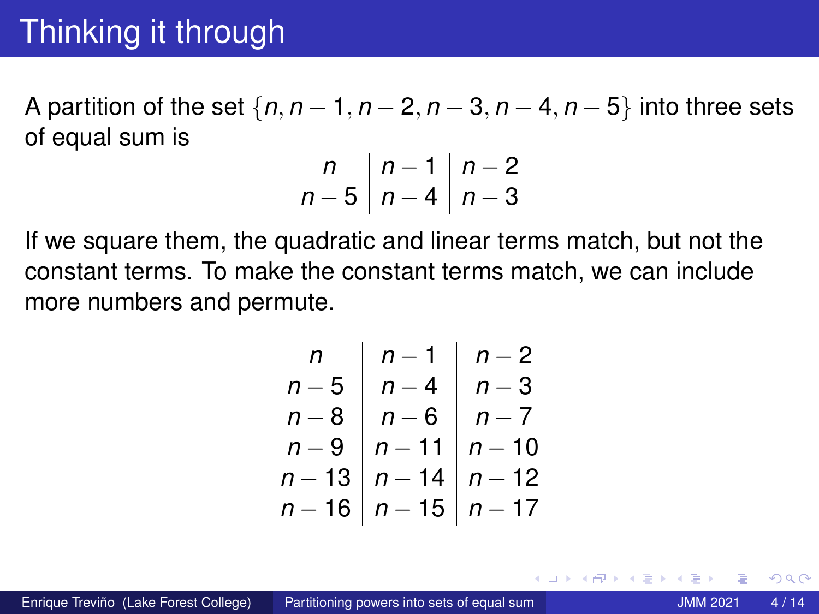# Thinking it through

A partition of the set {*n*, *n* − 1, *n* − 2, *n* − 3, *n* − 4, *n* − 5} into three sets of equal sum is

$$
\begin{array}{c|c} n & n-1 & n-2 \\ n-5 & n-4 & n-3 \end{array}
$$

If we square them, the quadratic and linear terms match, but not the constant terms. To make the constant terms match, we can include more numbers and permute.

*n n* − 1 *n* − 2 *n* − 5 *n* − 4 *n* − 3 *n* − 8 *n* − 6 *n* − 7 *n* − 9 *n* − 11 *n* − 10 *n* − 13 *n* − 14 *n* − 12 *n* − 16 *n* − 15 *n* − 17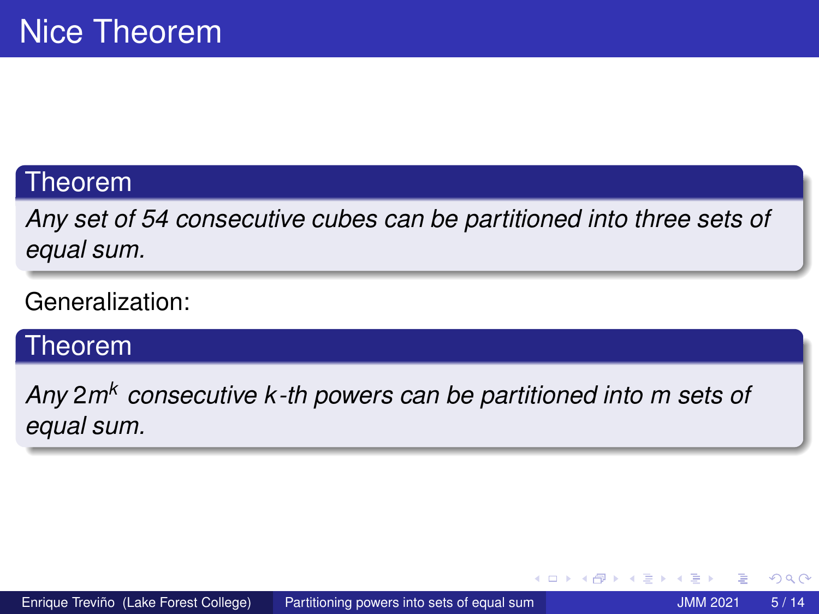#### <span id="page-4-0"></span>Theorem

*Any set of 54 consecutive cubes can be partitioned into three sets of equal sum.*

#### Generalization:

## **Theorem**

*Any* 2*m<sup>k</sup> consecutive k -th powers can be partitioned into m sets of equal sum.*

 $290$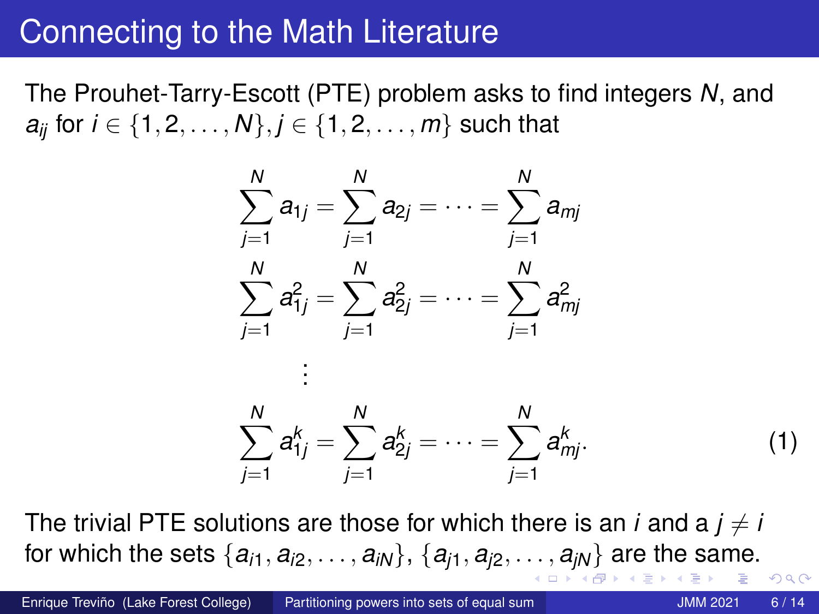# <span id="page-5-0"></span>Connecting to the Math Literature

The Prouhet-Tarry-Escott (PTE) problem asks to find integers *N*, and *a*<sup>*i*</sup> for  $i \in \{1, 2, ..., N\}, j \in \{1, 2, ..., m\}$  such that



The trivial PTE solutions are those for which there is an *i* and a  $j \neq i$ for which [th](#page-13-0)[e](#page-0-0) sets  $\{a_{i1}, a_{i2}, \ldots, a_{iN}\}, \{a_{i1}, a_{i2}, \ldots, a_{iN}\}\$  $\{a_{i1}, a_{i2}, \ldots, a_{iN}\}, \{a_{i1}, a_{i2}, \ldots, a_{iN}\}\$  $\{a_{i1}, a_{i2}, \ldots, a_{iN}\}, \{a_{i1}, a_{i2}, \ldots, a_{iN}\}\$  $\{a_{i1}, a_{i2}, \ldots, a_{iN}\}, \{a_{i1}, a_{i2}, \ldots, a_{iN}\}\$  $\{a_{i1}, a_{i2}, \ldots, a_{iN}\}, \{a_{i1}, a_{i2}, \ldots, a_{iN}\}\$  a[re](#page-0-0) the [sa](#page-13-0)[m](#page-0-0)[e.](#page-13-0)  $\Omega$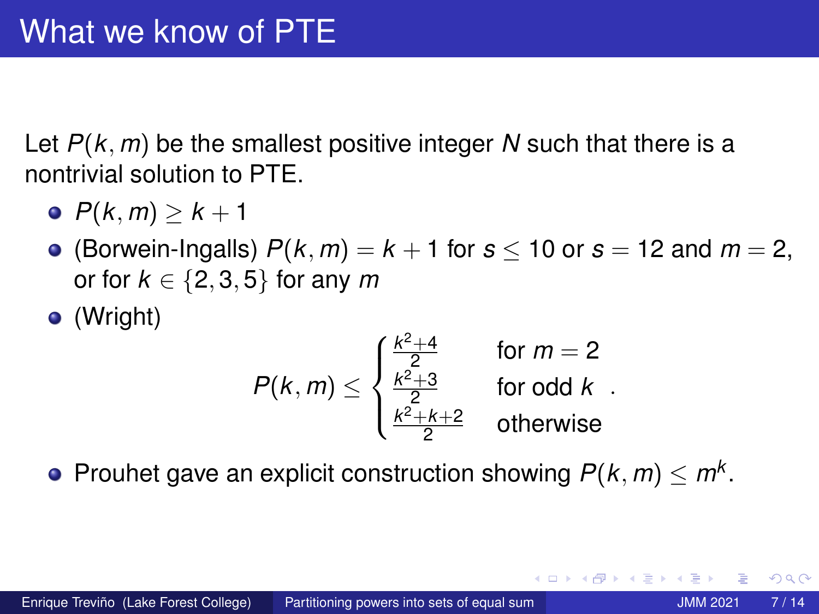<span id="page-6-0"></span>Let *P*(*k*, *m*) be the smallest positive integer *N* such that there is a nontrivial solution to PTE.

- $P(k, m) > k + 1$
- (Borwein-Ingalls)  $P(k, m) = k + 1$  for  $s < 10$  or  $s = 12$  and  $m = 2$ , or for  $k \in \{2, 3, 5\}$  for any *m*
- (Wright)

$$
P(k,m) \leq \begin{cases} \frac{k^2+4}{2} & \text{for } m=2\\ \frac{k^2+3}{2} & \text{for odd } k\\ \frac{k^2+k+2}{2} & \text{otherwise} \end{cases}
$$

Prouhet gave an explicit construction showing  $P(k, m) \le m^k$ .

 $\Omega$ 

 $\mathcal{A}$   $\overline{\mathcal{B}}$   $\rightarrow$   $\mathcal{A}$   $\overline{\mathcal{B}}$   $\rightarrow$   $\mathcal{A}$   $\overline{\mathcal{B}}$   $\rightarrow$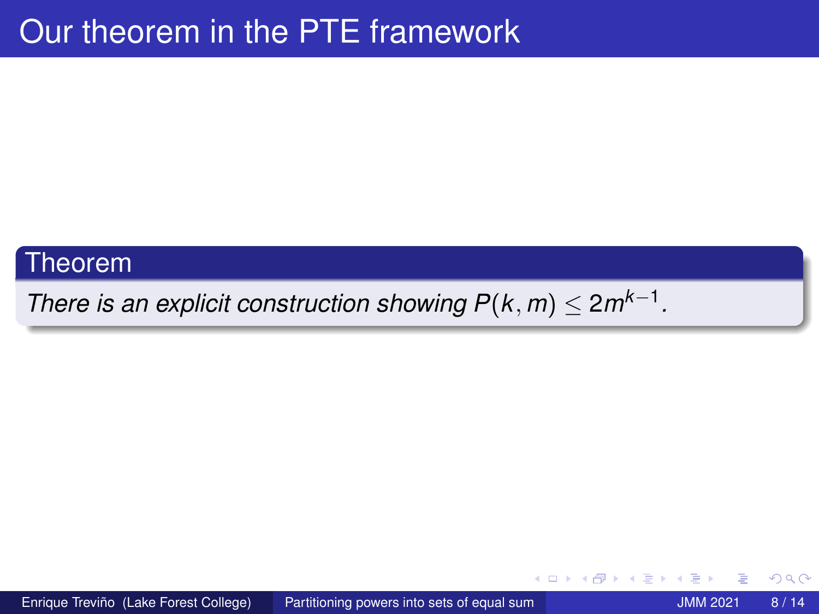#### Theorem

*There is an explicit construction showing*  $P(k, m) \leq 2m^{k-1}$ *.* 

 $\Omega$ 

4 0 8

4 ଲ ⊧

∋⇒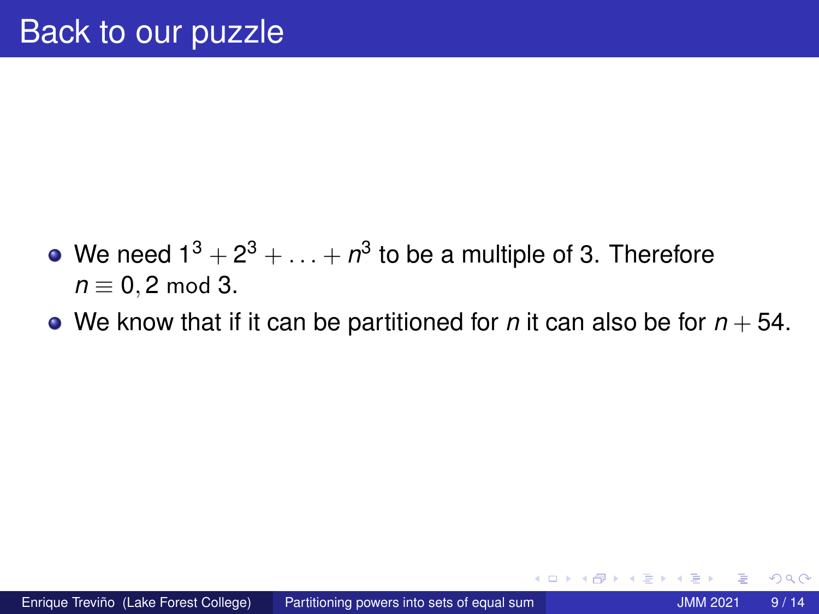- We need 1 $^3+2^3+\ldots+n^3$  to be a multiple of 3. Therefore *n* ≡ 0, 2 mod 3.
- We know that if it can be partitioned for *n* it can also be for  $n + 54$ .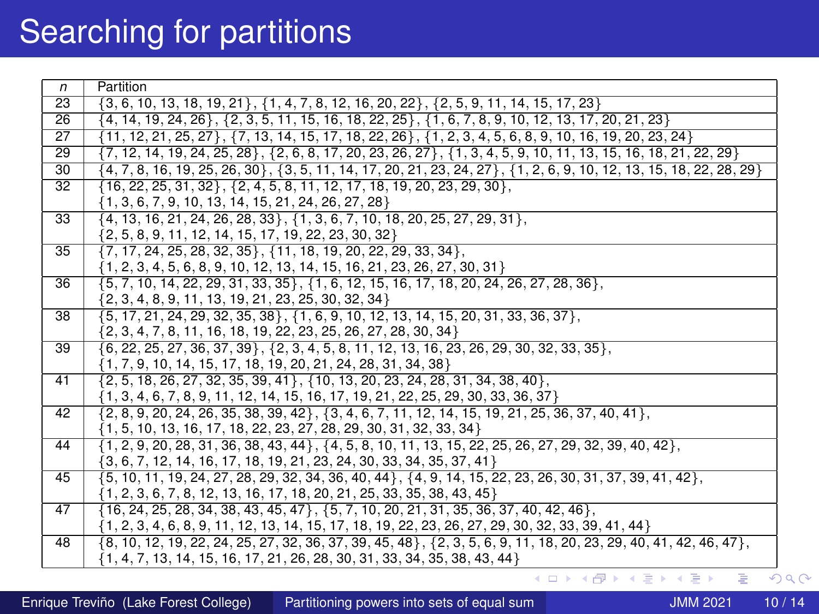# Searching for partitions

| n               | Partition                                                                                                                   |
|-----------------|-----------------------------------------------------------------------------------------------------------------------------|
| 23              | $\{3, 6, 10, 13, 18, 19, 21\}, \{1, 4, 7, 8, 12, 16, 20, 22\}, \{2, 5, 9, 11, 14, 15, 17, 23\}$                             |
| 26              | $\{4, 14, 19, 24, 26\}, \{2, 3, 5, 11, 15, 16, 18, 22, 25\}, \{1, 6, 7, 8, 9, 10, 12, 13, 17, 20, 21, 23\}$                 |
| 27              | $\{11, 12, 21, 25, 27\}, \{7, 13, 14, 15, 17, 18, 22, 26\}, \{1, 2, 3, 4, 5, 6, 8, 9, 10, 16, 19, 20, 23, 24\}$             |
| $\overline{29}$ | $\{7, 12, 14, 19, 24, 25, 28\}, \{2, 6, 8, 17, 20, 23, 26, 27\}, \{1, 3, 4, 5, 9, 10, 11, 13, 15, 16, 18, 21, 22, 29\}$     |
| 30              | $\{4, 7, 8, 16, 19, 25, 26, 30\}, \{3, 5, 11, 14, 17, 20, 21, 23, 24, 27\}, \{1, 2, 6, 9, 10, 12, 13, 15, 18, 22, 28, 29\}$ |
| 32              | $\{16, 22, 25, 31, 32\}, \{2, 4, 5, 8, 11, 12, 17, 18, 19, 20, 23, 29, 30\},\$                                              |
|                 | $\{1, 3, 6, 7, 9, 10, 13, 14, 15, 21, 24, 26, 27, 28\}$                                                                     |
| 33              | $\{4, 13, 16, 21, 24, 26, 28, 33\}, \{1, 3, 6, 7, 10, 18, 20, 25, 27, 29, 31\},\$                                           |
|                 | $\{2, 5, 8, 9, 11, 12, 14, 15, 17, 19, 22, 23, 30, 32\}$                                                                    |
| 35              | $\{7, 17, 24, 25, 28, 32, 35\}, \{11, 18, 19, 20, 22, 29, 33, 34\},\$                                                       |
|                 | $\{1, 2, 3, 4, 5, 6, 8, 9, 10, 12, 13, 14, 15, 16, 21, 23, 26, 27, 30, 31\}$                                                |
| 36              | $\{5, 7, 10, 14, 22, 29, 31, 33, 35\}, \{1, 6, 12, 15, 16, 17, 18, 20, 24, 26, 27, 28, 36\},\$                              |
|                 | $\{2, 3, 4, 8, 9, 11, 13, 19, 21, 23, 25, 30, 32, 34\}$                                                                     |
| 38              | $\{5, 17, 21, 24, 29, 32, 35, 38\}, \{1, 6, 9, 10, 12, 13, 14, 15, 20, 31, 33, 36, 37\},\$                                  |
|                 | $\{2, 3, 4, 7, 8, 11, 16, 18, 19, 22, 23, 25, 26, 27, 28, 30, 34\}$                                                         |
| 39              | $\{6, 22, 25, 27, 36, 37, 39\}, \{2, 3, 4, 5, 8, 11, 12, 13, 16, 23, 26, 29, 30, 32, 33, 35\},\$                            |
|                 | $\{1, 7, 9, 10, 14, 15, 17, 18, 19, 20, 21, 24, 28, 31, 34, 38\}$                                                           |
| 41              | $\{2, 5, 18, 26, 27, 32, 35, 39, 41\}, \{10, 13, 20, 23, 24, 28, 31, 34, 38, 40\},\$                                        |
|                 | $\{1, 3, 4, 6, 7, 8, 9, 11, 12, 14, 15, 16, 17, 19, 21, 22, 25, 29, 30, 33, 36, 37\}$                                       |
| 42              | $\{2, 8, 9, 20, 24, 26, 35, 38, 39, 42\}, \{3, 4, 6, 7, 11, 12, 14, 15, 19, 21, 25, 36, 37, 40, 41\},\$                     |
|                 | $\{1, 5, 10, 13, 16, 17, 18, 22, 23, 27, 28, 29, 30, 31, 32, 33, 34\}$                                                      |
| 44              | $\{1, 2, 9, 20, 28, 31, 36, 38, 43, 44\}, \{4, 5, 8, 10, 11, 13, 15, 22, 25, 26, 27, 29, 32, 39, 40, 42\},\$                |
|                 | $\{3, 6, 7, 12, 14, 16, 17, 18, 19, 21, 23, 24, 30, 33, 34, 35, 37, 41\}$                                                   |
| 45              | $\{5, 10, 11, 19, 24, 27, 28, 29, 32, 34, 36, 40, 44\}, \{4, 9, 14, 15, 22, 23, 26, 30, 31, 37, 39, 41, 42\},\$             |
|                 | $\{1, 2, 3, 6, 7, 8, 12, 13, 16, 17, 18, 20, 21, 25, 33, 35, 38, 43, 45\}$                                                  |
| 47              | $\{16, 24, 25, 28, 34, 38, 43, 45, 47\}, \{5, 7, 10, 20, 21, 31, 35, 36, 37, 40, 42, 46\},\$                                |
|                 | $\{1, 2, 3, 4, 6, 8, 9, 11, 12, 13, 14, 15, 17, 18, 19, 22, 23, 26, 27, 29, 30, 32, 33, 39, 41, 44\}$                       |
| 48              | $\{8, 10, 12, 19, 22, 24, 25, 27, 32, 36, 37, 39, 45, 48\}, \{2, 3, 5, 6, 9, 11, 18, 20, 23, 29, 40, 41, 42, 46, 47\},\$    |
|                 | $\{1, 4, 7, 13, 14, 15, 16, 17, 21, 26, 28, 30, 31, 33, 34, 35, 38, 43, 44\}$                                               |
|                 | KED KAPD KED KED E YORG                                                                                                     |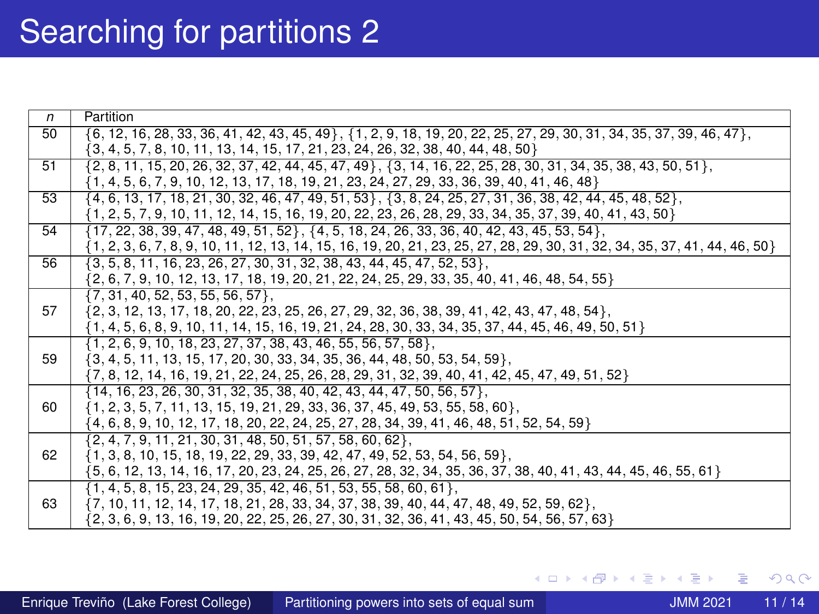| $\mathsf{n}$ | Partition                                                                                                                     |
|--------------|-------------------------------------------------------------------------------------------------------------------------------|
| 50           | $\{6, 12, 16, 28, 33, 36, 41, 42, 43, 45, 49\}, \{1, 2, 9, 18, 19, 20, 22, 25, 27, 29, 30, 31, 34, 35, 37, 39, 46, 47\},\$    |
|              | $\{3, 4, 5, 7, 8, 10, 11, 13, 14, 15, 17, 21, 23, 24, 26, 32, 38, 40, 44, 48, 50\}$                                           |
| 51           | $\{2, 8, 11, 15, 20, 26, 32, 37, 42, 44, 45, 47, 49\}$ , $\{3, 14, 16, 22, 25, 28, 30, 31, 34, 35, 38, 43, 50, 51\}$          |
|              | $\{1, 4, 5, 6, 7, 9, 10, 12, 13, 17, 18, 19, 21, 23, 24, 27, 29, 33, 36, 39, 40, 41, 46, 48\}$                                |
| 53           | $\{4, 6, 13, 17, 18, 21, 30, 32, 46, 47, 49, 51, 53\}, \{3, 8, 24, 25, 27, 31, 36, 38, 42, 44, 45, 48, 52\},\$                |
|              | $\{1, 2, 5, 7, 9, 10, 11, 12, 14, 15, 16, 19, 20, 22, 23, 26, 28, 29, 33, 34, 35, 37, 39, 40, 41, 43, 50\}$                   |
| 54           | $\{17, 22, 38, 39, 47, 48, 49, 51, 52\}, \{4, 5, 18, 24, 26, 33, 36, 40, 42, 43, 45, 53, 54\},\$                              |
|              | $\{1, 2, 3, 6, 7, 8, 9, 10, 11, 12, 13, 14, 15, 16, 19, 20, 21, 23, 25, 27, 28, 29, 30, 31, 32, 34, 35, 37, 41, 44, 46, 50\}$ |
| 56           | $\{3, 5, 8, 11, 16, 23, 26, 27, 30, 31, 32, 38, 43, 44, 45, 47, 52, 53\},$                                                    |
|              | $\{2, 6, 7, 9, 10, 12, 13, 17, 18, 19, 20, 21, 22, 24, 25, 29, 33, 35, 40, 41, 46, 48, 54, 55\}$                              |
|              | $\{7, 31, 40, 52, 53, 55, 56, 57\}$                                                                                           |
| 57           | $\{2, 3, 12, 13, 17, 18, 20, 22, 23, 25, 26, 27, 29, 32, 36, 38, 39, 41, 42, 43, 47, 48, 54\},\$                              |
|              | $\{1, 4, 5, 6, 8, 9, 10, 11, 14, 15, 16, 19, 21, 24, 28, 30, 33, 34, 35, 37, 44, 45, 46, 49, 50, 51\}$                        |
|              | $\{1, 2, 6, 9, 10, 18, 23, 27, 37, 38, 43, 46, 55, 56, 57, 58\},\$                                                            |
| 59           | $\{3, 4, 5, 11, 13, 15, 17, 20, 30, 33, 34, 35, 36, 44, 48, 50, 53, 54, 59\}$                                                 |
|              | $\{7, 8, 12, 14, 16, 19, 21, 22, 24, 25, 26, 28, 29, 31, 32, 39, 40, 41, 42, 45, 47, 49, 51, 52\}$                            |
|              | $\{14, 16, 23, 26, 30, 31, 32, 35, 38, 40, 42, 43, 44, 47, 50, 56, 57\}$                                                      |
| 60           | $\{1, 2, 3, 5, 7, 11, 13, 15, 19, 21, 29, 33, 36, 37, 45, 49, 53, 55, 58, 60\},\$                                             |
|              | $\{4, 6, 8, 9, 10, 12, 17, 18, 20, 22, 24, 25, 27, 28, 34, 39, 41, 46, 48, 51, 52, 54, 59\}$                                  |
|              | $\{2, 4, 7, 9, 11, 21, 30, 31, 48, 50, 51, 57, 58, 60, 62\},$                                                                 |
| 62           | $\{1, 3, 8, 10, 15, 18, 19, 22, 29, 33, 39, 42, 47, 49, 52, 53, 54, 56, 59\},\$                                               |
|              | {5, 6, 12, 13, 14, 16, 17, 20, 23, 24, 25, 26, 27, 28, 32, 34, 35, 36, 37, 38, 40, 41, 43, 44, 45, 46, 55, 61}                |
|              | $\{1, 4, 5, 8, 15, 23, 24, 29, 35, 42, 46, 51, 53, 55, 58, 60, 61\},\$                                                        |
| 63           | $\{7, 10, 11, 12, 14, 17, 18, 21, 28, 33, 34, 37, 38, 39, 40, 44, 47, 48, 49, 52, 59, 62\},\$                                 |
|              | $\{2, 3, 6, 9, 13, 16, 19, 20, 22, 25, 26, 27, 30, 31, 32, 36, 41, 43, 45, 50, 54, 56, 57, 63\}$                              |

∍

 $299$ 

**K ロ ⊁ K 倒 ≯ K 差 ≯ K**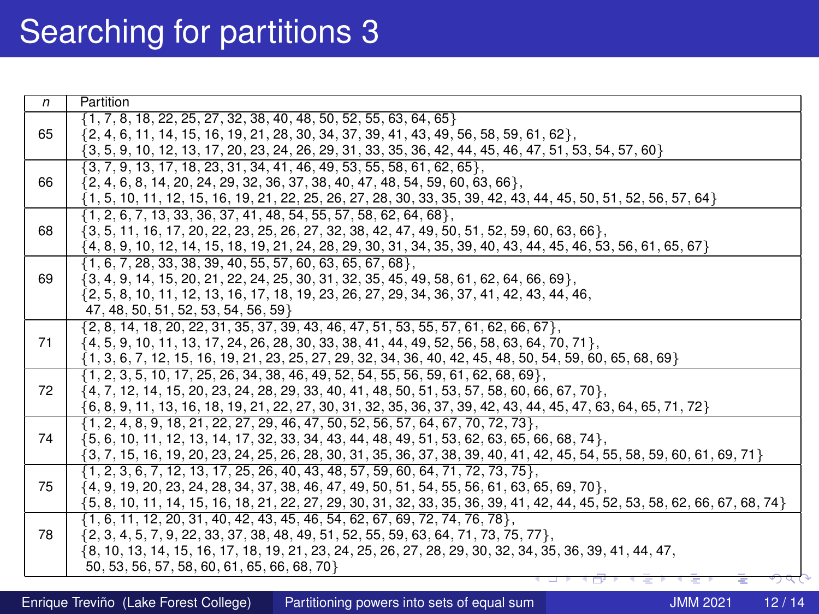| $\mathsf{n}$ | Partition                                                                                                                                                                             |
|--------------|---------------------------------------------------------------------------------------------------------------------------------------------------------------------------------------|
|              | $\{1, 7, 8, 18, 22, 25, 27, 32, 38, 40, 48, 50, 52, 55, 63, 64, 65\}$                                                                                                                 |
| 65           | $\{2, 4, 6, 11, 14, 15, 16, 19, 21, 28, 30, 34, 37, 39, 41, 43, 49, 56, 58, 59, 61, 62\},\$                                                                                           |
|              | $\{3, 5, 9, 10, 12, 13, 17, 20, 23, 24, 26, 29, 31, 33, 35, 36, 42, 44, 45, 46, 47, 51, 53, 54, 57, 60\}$                                                                             |
|              | $\{3, 7, 9, 13, 17, 18, 23, 31, 34, 41, 46, 49, 53, 55, 58, 61, 62, 65\}$                                                                                                             |
| 66           | $\{2, 4, 6, 8, 14, 20, 24, 29, 32, 36, 37, 38, 40, 47, 48, 54, 59, 60, 63, 66\},\$                                                                                                    |
|              | $\{1, 5, 10, 11, 12, 15, 16, 19, 21, 22, 25, 26, 27, 28, 30, 33, 35, 39, 42, 43, 44, 45, 50, 51, 52, 56, 57, 64\}$                                                                    |
|              | $\{1, 2, 6, 7, 13, 33, 36, 37, 41, 48, 54, 55, 57, 58, 62, 64, 68\},\$                                                                                                                |
| 68           | $\{3, 5, 11, 16, 17, 20, 22, 23, 25, 26, 27, 32, 38, 42, 47, 49, 50, 51, 52, 59, 60, 63, 66\},$                                                                                       |
|              | {4, 8, 9, 10, 12, 14, 15, 18, 19, 21, 24, 28, 29, 30, 31, 34, 35, 39, 40, 43, 44, 45, 46, 53, 56, 61, 65, 67}                                                                         |
|              | $\{1, 6, 7, 28, 33, 38, 39, 40, 55, 57, 60, 63, 65, 67, 68\},\$                                                                                                                       |
| 69           | $\{3, 4, 9, 14, 15, 20, 21, 22, 24, 25, 30, 31, 32, 35, 45, 49, 58, 61, 62, 64, 66, 69\}$                                                                                             |
|              | $\{2, 5, 8, 10, 11, 12, 13, 16, 17, 18, 19, 23, 26, 27, 29, 34, 36, 37, 41, 42, 43, 44, 46,$                                                                                          |
|              | 47, 48, 50, 51, 52, 53, 54, 56, 59}                                                                                                                                                   |
|              | $\{2, 8, 14, 18, 20, 22, 31, 35, 37, 39, 43, 46, 47, 51, 53, 55, 57, 61, 62, 66, 67\},\$                                                                                              |
| 71           | $\{4, 5, 9, 10, 11, 13, 17, 24, 26, 28, 30, 33, 38, 41, 44, 49, 52, 56, 58, 63, 64, 70, 71\}$                                                                                         |
|              | $\{1, 3, 6, 7, 12, 15, 16, 19, 21, 23, 25, 27, 29, 32, 34, 36, 40, 42, 45, 48, 50, 54, 59, 60, 65, 68, 69\}$                                                                          |
| 72           | $\{1, 2, 3, 5, 10, 17, 25, 26, 34, 38, 46, 49, 52, 54, 55, 56, 59, 61, 62, 68, 69\}$                                                                                                  |
|              | $\{4, 7, 12, 14, 15, 20, 23, 24, 28, 29, 33, 40, 41, 48, 50, 51, 53, 57, 58, 60, 66, 67, 70\},\$                                                                                      |
|              | $\{6, 8, 9, 11, 13, 16, 18, 19, 21, 22, 27, 30, 31, 32, 35, 36, 37, 39, 42, 43, 44, 45, 47, 63, 64, 65, 71, 72\}$                                                                     |
| 74           | $\{1, 2, 4, 8, 9, 18, 21, 22, 27, 29, 46, 47, 50, 52, 56, 57, 64, 67, 70, 72, 73\}$<br>$\{5, 6, 10, 11, 12, 13, 14, 17, 32, 33, 34, 43, 44, 48, 49, 51, 53, 62, 63, 65, 66, 68, 74\}$ |
|              | $\{3, 7, 15, 16, 19, 20, 23, 24, 25, 26, 28, 30, 31, 35, 36, 37, 38, 39, 40, 41, 42, 45, 54, 55, 58, 59, 60, 61, 69, 71\}$                                                            |
|              | $\{1, 2, 3, 6, 7, 12, 13, 17, 25, 26, 40, 43, 48, 57, 59, 60, 64, 71, 72, 73, 75\}$                                                                                                   |
| 75           | $\{4, 9, 19, 20, 23, 24, 28, 34, 37, 38, 46, 47, 49, 50, 51, 54, 55, 56, 61, 63, 65, 69, 70\},$                                                                                       |
|              | {5, 8, 10, 11, 14, 15, 16, 18, 21, 22, 27, 29, 30, 31, 32, 33, 35, 36, 39, 41, 42, 44, 45, 52, 53, 58, 62, 66, 67, 68, 74}                                                            |
|              | $\{1, 6, 11, 12, 20, 31, 40, 42, 43, 45, 46, 54, 62, 67, 69, 72, 74, 76, 78\},\$                                                                                                      |
| 78           | $\{2, 3, 4, 5, 7, 9, 22, 33, 37, 38, 48, 49, 51, 52, 55, 59, 63, 64, 71, 73, 75, 77\}$                                                                                                |
|              | {8, 10, 13, 14, 15, 16, 17, 18, 19, 21, 23, 24, 25, 26, 27, 28, 29, 30, 32, 34, 35, 36, 39, 41, 44, 47,                                                                               |
|              | 50, 53, 56, 57, 58, 60, 61, 65, 66, 68, 70}                                                                                                                                           |
|              |                                                                                                                                                                                       |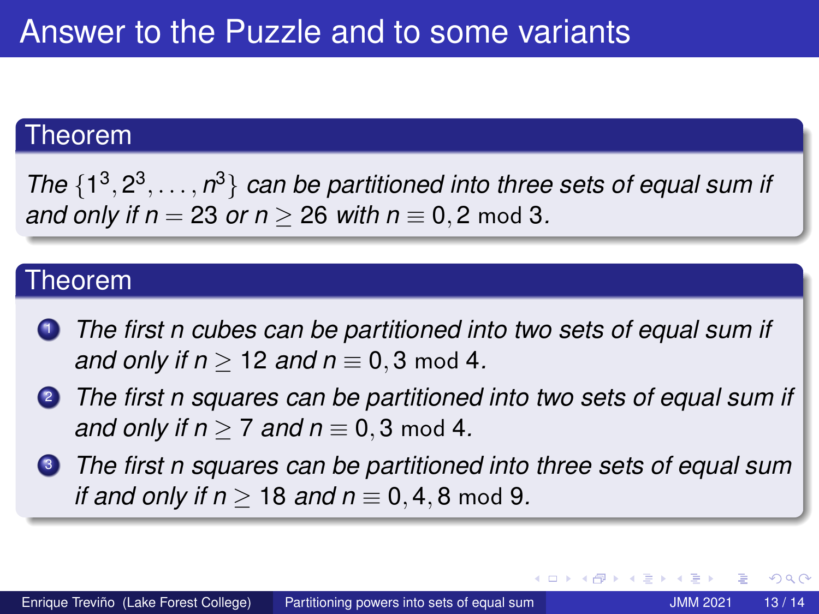#### Theorem

*The*  $\{1^3, 2^3, \ldots, n^3\}$  *can be partitioned into three sets of equal sum if and only if n* = 23 *or n* > 26 *with n*  $\equiv$  0, 2 mod 3.

#### Theorem

- <sup>1</sup> *The first n cubes can be partitioned into two sets of equal sum if and only if n*  $> 12$  *and n*  $\equiv$  0, 3 mod 4.
- <sup>2</sup> *The first n squares can be partitioned into two sets of equal sum if and only if n*  $> 7$  *and n*  $\equiv$  0, 3 mod 4.
- <sup>3</sup> *The first n squares can be partitioned into three sets of equal sum if and only if n*  $> 18$  *and n*  $\equiv$  0, 4, 8 mod 9.

 $299$ 

K ロ ▶ K 御 ▶ K 君 ▶ K 君